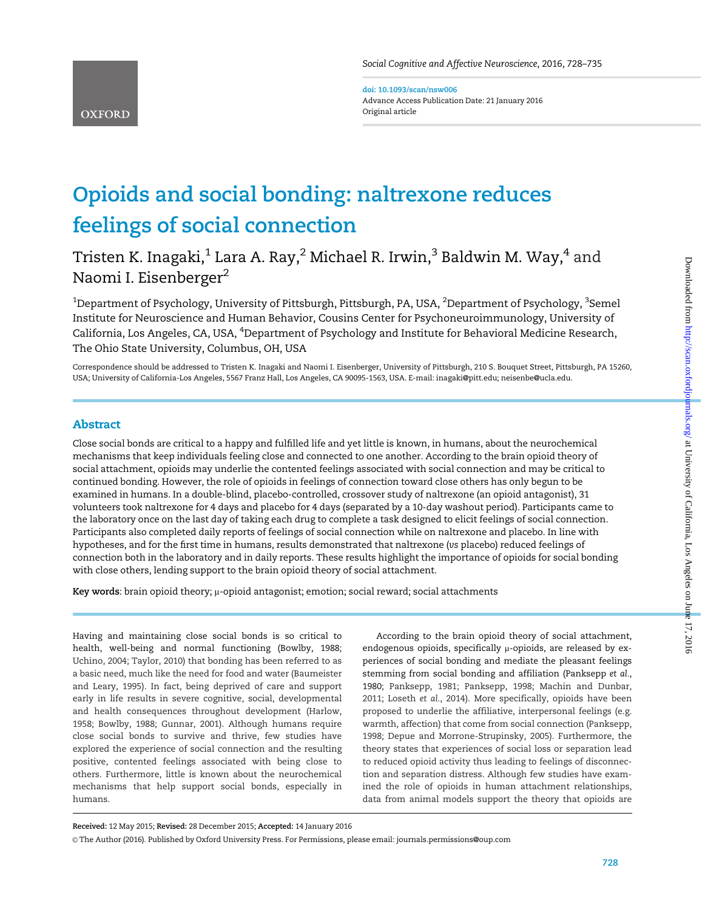doi: 10.1093/scan/nsw006 Advance Access Publication Date: 21 January 2016 Original article

# Opioids and social bonding: naltrexone reduces feelings of social connection

# Tristen K. Inagaki, $1$  Lara A. Ray, $2$  Michael R. Irwin, $3$  Baldwin M. Way, $4$  and Naomi I. Eisenberger<sup>2</sup>

 $^{\rm 1}$ Department of Psychology, University of Pittsburgh, Pittsburgh, PA, USA,  $^{\rm 2}$ Department of Psychology,  $^{\rm 3}$ Semel Institute for Neuroscience and Human Behavior, Cousins Center for Psychoneuroimmunology, University of California, Los Angeles, CA, USA, <sup>4</sup>Department of Psychology and Institute for Behavioral Medicine Research, The Ohio State University, Columbus, OH, USA

Correspondence should be addressed to Tristen K. Inagaki and Naomi I. Eisenberger, University of Pittsburgh, 210 S. Bouquet Street, Pittsburgh, PA 15260, USA; University of California-Los Angeles, 5567 Franz Hall, Los Angeles, CA 90095-1563, USA. E-mail: inagaki@pitt.edu; neisenbe@ucla.edu.

# Abstract

Close social bonds are critical to a happy and fulfilled life and yet little is known, in humans, about the neurochemical mechanisms that keep individuals feeling close and connected to one another. According to the brain opioid theory of social attachment, opioids may underlie the contented feelings associated with social connection and may be critical to continued bonding. However, the role of opioids in feelings of connection toward close others has only begun to be examined in humans. In a double-blind, placebo-controlled, crossover study of naltrexone (an opioid antagonist), 31 volunteers took naltrexone for 4 days and placebo for 4 days (separated by a 10-day washout period). Participants came to the laboratory once on the last day of taking each drug to complete a task designed to elicit feelings of social connection. Participants also completed daily reports of feelings of social connection while on naltrexone and placebo. In line with hypotheses, and for the first time in humans, results demonstrated that naltrexone (vs placebo) reduced feelings of connection both in the laboratory and in daily reports. These results highlight the importance of opioids for social bonding with close others, lending support to the brain opioid theory of social attachment.

Key words: brain opioid theory;  $\mu$ -opioid antagonist; emotion; social reward; social attachments

Having and maintaining close social bonds is so critical to health, well-being and normal functioning (Bowlby, 1988; Uchino, 2004; Taylor, 2010) that bonding has been referred to as a basic need, much like the need for food and water (Baumeister and Leary, 1995). In fact, being deprived of care and support early in life results in severe cognitive, social, developmental and health consequences throughout development (Harlow, 1958; Bowlby, 1988; Gunnar, 2001). Although humans require close social bonds to survive and thrive, few studies have explored the experience of social connection and the resulting positive, contented feelings associated with being close to others. Furthermore, little is known about the neurochemical mechanisms that help support social bonds, especially in humans.

According to the brain opioid theory of social attachment, endogenous opioids, specifically  $\mu$ -opioids, are released by experiences of social bonding and mediate the pleasant feelings stemming from social bonding and affiliation (Panksepp et al., 1980; Panksepp, 1981; Panksepp, 1998; Machin and Dunbar, 2011; Loseth et al., 2014). More specifically, opioids have been proposed to underlie the affiliative, interpersonal feelings (e.g. warmth, affection) that come from social connection (Panksepp, 1998; Depue and Morrone-Strupinsky, 2005). Furthermore, the theory states that experiences of social loss or separation lead to reduced opioid activity thus leading to feelings of disconnection and separation distress. Although few studies have examined the role of opioids in human attachment relationships, data from animal models support the theory that opioids are

Received: 12 May 2015; Revised: 28 December 2015; Accepted: 14 January 2016

V<sup>C</sup> The Author (2016). Published by Oxford University Press. For Permissions, please email: journals.permissions@oup.com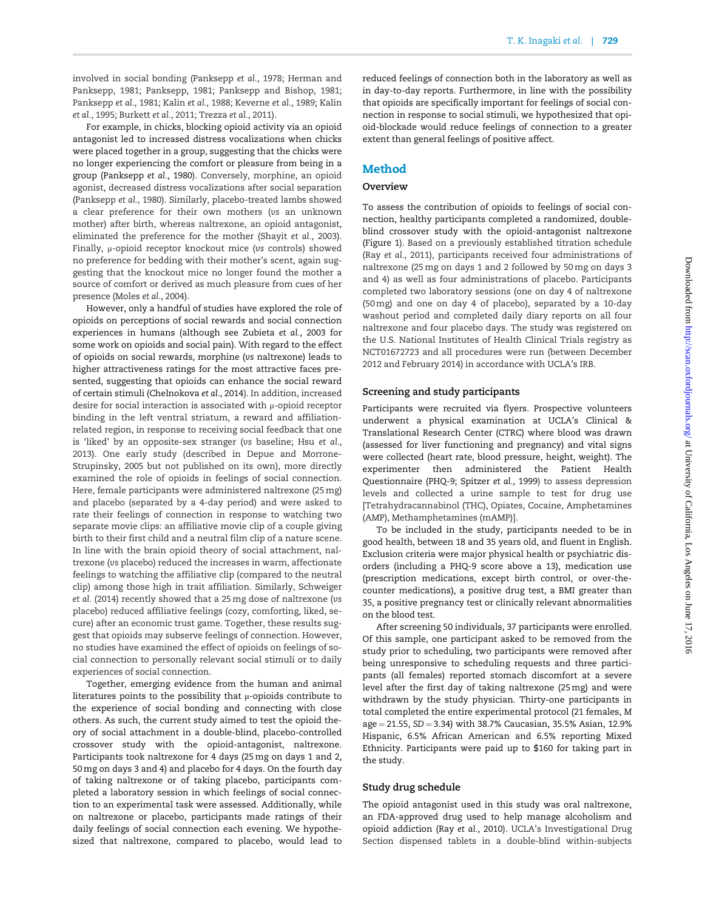involved in social bonding (Panksepp et al., 1978; Herman and Panksepp, 1981; Panksepp, 1981; Panksepp and Bishop, 1981; Panksepp et al., 1981; Kalin et al., 1988; Keverne et al., 1989; Kalin et al., 1995; Burkett et al., 2011; Trezza et al., 2011).

For example, in chicks, blocking opioid activity via an opioid antagonist led to increased distress vocalizations when chicks were placed together in a group, suggesting that the chicks were no longer experiencing the comfort or pleasure from being in a group (Panksepp et al., 1980). Conversely, morphine, an opioid agonist, decreased distress vocalizations after social separation (Panksepp et al., 1980). Similarly, placebo-treated lambs showed a clear preference for their own mothers (vs an unknown mother) after birth, whereas naltrexone, an opioid antagonist, eliminated the preference for the mother (Shayit et al., 2003). Finally,  $\mu$ -opioid receptor knockout mice (vs controls) showed no preference for bedding with their mother's scent, again suggesting that the knockout mice no longer found the mother a source of comfort or derived as much pleasure from cues of her presence (Moles et al., 2004).

However, only a handful of studies have explored the role of opioids on perceptions of social rewards and social connection experiences in humans (although see Zubieta et al., 2003 for some work on opioids and social pain). With regard to the effect of opioids on social rewards, morphine (vs naltrexone) leads to higher attractiveness ratings for the most attractive faces presented, suggesting that opioids can enhance the social reward of certain stimuli (Chelnokova et al., 2014). In addition, increased desire for social interaction is associated with  $\mu$ -opioid receptor binding in the left ventral striatum, a reward and affiliationrelated region, in response to receiving social feedback that one is 'liked' by an opposite-sex stranger (vs baseline; Hsu et al., 2013). One early study (described in Depue and Morrone-Strupinsky, 2005 but not published on its own), more directly examined the role of opioids in feelings of social connection. Here, female participants were administered naltrexone (25 mg) and placebo (separated by a 4-day period) and were asked to rate their feelings of connection in response to watching two separate movie clips: an affiliative movie clip of a couple giving birth to their first child and a neutral film clip of a nature scene. In line with the brain opioid theory of social attachment, naltrexone (vs placebo) reduced the increases in warm, affectionate feelings to watching the affiliative clip (compared to the neutral clip) among those high in trait affiliation. Similarly, Schweiger et al. (2014) recently showed that a 25 mg dose of naltrexone (vs placebo) reduced affiliative feelings (cozy, comforting, liked, secure) after an economic trust game. Together, these results suggest that opioids may subserve feelings of connection. However, no studies have examined the effect of opioids on feelings of social connection to personally relevant social stimuli or to daily experiences of social connection.

Together, emerging evidence from the human and animal literatures points to the possibility that  $\mu$ -opioids contribute to the experience of social bonding and connecting with close others. As such, the current study aimed to test the opioid theory of social attachment in a double-blind, placebo-controlled crossover study with the opioid-antagonist, naltrexone. Participants took naltrexone for 4 days (25 mg on days 1 and 2, 50 mg on days 3 and 4) and placebo for 4 days. On the fourth day of taking naltrexone or of taking placebo, participants completed a laboratory session in which feelings of social connection to an experimental task were assessed. Additionally, while on naltrexone or placebo, participants made ratings of their daily feelings of social connection each evening. We hypothesized that naltrexone, compared to placebo, would lead to reduced feelings of connection both in the laboratory as well as in day-to-day reports. Furthermore, in line with the possibility that opioids are specifically important for feelings of social connection in response to social stimuli, we hypothesized that opioid-blockade would reduce feelings of connection to a greater extent than general feelings of positive affect.

# Method

#### **Overview**

To assess the contribution of opioids to feelings of social connection, healthy participants completed a randomized, doubleblind crossover study with the opioid-antagonist naltrexone (Figure 1). Based on a previously established titration schedule (Ray et al., 2011), participants received four administrations of naltrexone (25 mg on days 1 and 2 followed by 50 mg on days 3 and 4) as well as four administrations of placebo. Participants completed two laboratory sessions (one on day 4 of naltrexone (50 mg) and one on day 4 of placebo), separated by a 10-day washout period and completed daily diary reports on all four naltrexone and four placebo days. The study was registered on the U.S. National Institutes of Health Clinical Trials registry as NCT01672723 and all procedures were run (between December 2012 and February 2014) in accordance with UCLA's IRB.

#### Screening and study participants

Participants were recruited via flyers. Prospective volunteers underwent a physical examination at UCLA's Clinical & Translational Research Center (CTRC) where blood was drawn (assessed for liver functioning and pregnancy) and vital signs were collected (heart rate, blood pressure, height, weight). The experimenter then administered the Patient Health Questionnaire (PHQ-9; Spitzer et al., 1999) to assess depression levels and collected a urine sample to test for drug use [Tetrahydracannabinol (THC), Opiates, Cocaine, Amphetamines (AMP), Methamphetamines (mAMP)].

To be included in the study, participants needed to be in good health, between 18 and 35 years old, and fluent in English. Exclusion criteria were major physical health or psychiatric disorders (including a PHQ-9 score above a 13), medication use (prescription medications, except birth control, or over-thecounter medications), a positive drug test, a BMI greater than 35, a positive pregnancy test or clinically relevant abnormalities on the blood test.

After screening 50 individuals, 37 participants were enrolled. Of this sample, one participant asked to be removed from the study prior to scheduling, two participants were removed after being unresponsive to scheduling requests and three participants (all females) reported stomach discomfort at a severe level after the first day of taking naltrexone (25 mg) and were withdrawn by the study physician. Thirty-one participants in total completed the entire experimental protocol (21 females, M  $age = 21.55$ ,  $SD = 3.34$ ) with 38.7% Caucasian, 35.5% Asian, 12.9% Hispanic, 6.5% African American and 6.5% reporting Mixed Ethnicity. Participants were paid up to \$160 for taking part in the study.

#### Study drug schedule

The opioid antagonist used in this study was oral naltrexone, an FDA-approved drug used to help manage alcoholism and opioid addiction (Ray et al., 2010). UCLA's Investigational Drug Section dispensed tablets in a double-blind within-subjects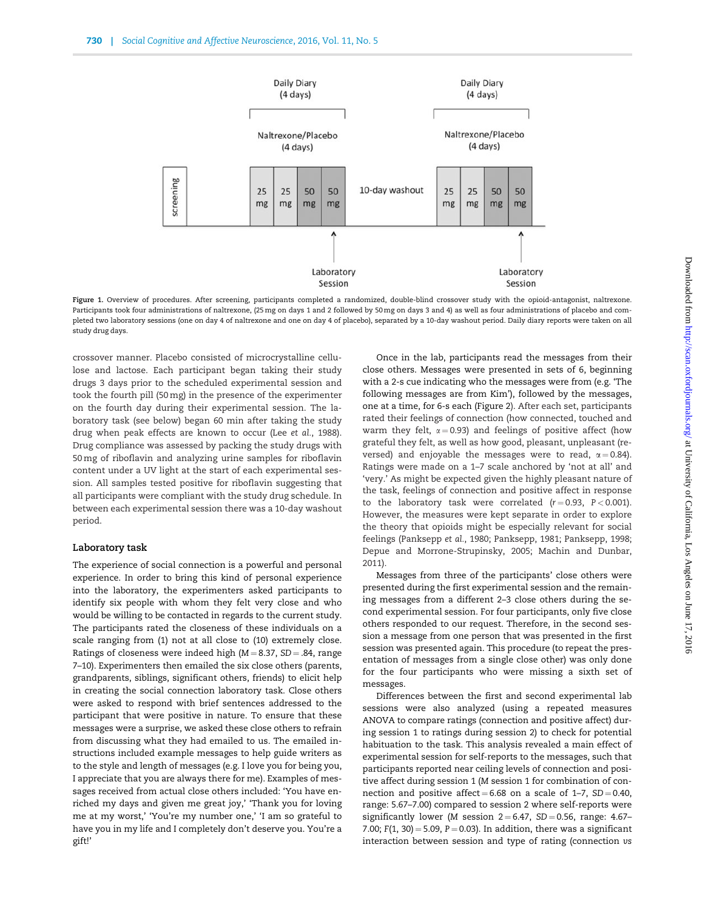

Figure 1. Overview of procedures. After screening, participants completed a randomized, double-blind crossover study with the opioid-antagonist, naltrexone. Participants took four administrations of naltrexone, (25 mg on days 1 and 2 followed by 50 mg on days 3 and 4) as well as four administrations of placebo and completed two laboratory sessions (one on day 4 of naltrexone and one on day 4 of placebo), separated by a 10-day washout period. Daily diary reports were taken on all study drug days.

crossover manner. Placebo consisted of microcrystalline cellulose and lactose. Each participant began taking their study drugs 3 days prior to the scheduled experimental session and took the fourth pill (50 mg) in the presence of the experimenter on the fourth day during their experimental session. The laboratory task (see below) began 60 min after taking the study drug when peak effects are known to occur (Lee et al., 1988). Drug compliance was assessed by packing the study drugs with 50 mg of riboflavin and analyzing urine samples for riboflavin content under a UV light at the start of each experimental session. All samples tested positive for riboflavin suggesting that all participants were compliant with the study drug schedule. In between each experimental session there was a 10-day washout period.

#### Laboratory task

The experience of social connection is a powerful and personal experience. In order to bring this kind of personal experience into the laboratory, the experimenters asked participants to identify six people with whom they felt very close and who would be willing to be contacted in regards to the current study. The participants rated the closeness of these individuals on a scale ranging from (1) not at all close to (10) extremely close. Ratings of closeness were indeed high ( $M = 8.37$ ,  $SD = .84$ , range 7–10). Experimenters then emailed the six close others (parents, grandparents, siblings, significant others, friends) to elicit help in creating the social connection laboratory task. Close others were asked to respond with brief sentences addressed to the participant that were positive in nature. To ensure that these messages were a surprise, we asked these close others to refrain from discussing what they had emailed to us. The emailed instructions included example messages to help guide writers as to the style and length of messages (e.g. I love you for being you, I appreciate that you are always there for me). Examples of messages received from actual close others included: 'You have enriched my days and given me great joy,' 'Thank you for loving me at my worst,' 'You're my number one,' 'I am so grateful to have you in my life and I completely don't deserve you. You're a gift!'

Once in the lab, participants read the messages from their close others. Messages were presented in sets of 6, beginning with a 2-s cue indicating who the messages were from (e.g. 'The following messages are from Kim'), followed by the messages, one at a time, for 6-s each (Figure 2). After each set, participants rated their feelings of connection (how connected, touched and warm they felt,  $\alpha = 0.93$ ) and feelings of positive affect (how grateful they felt, as well as how good, pleasant, unpleasant (reversed) and enjoyable the messages were to read,  $\alpha = 0.84$ ). Ratings were made on a 1–7 scale anchored by 'not at all' and 'very.' As might be expected given the highly pleasant nature of the task, feelings of connection and positive affect in response to the laboratory task were correlated  $(r = 0.93, P < 0.001)$ . However, the measures were kept separate in order to explore the theory that opioids might be especially relevant for social feelings (Panksepp et al., 1980; Panksepp, 1981; Panksepp, 1998; Depue and Morrone-Strupinsky, 2005; Machin and Dunbar, 2011).

Messages from three of the participants' close others were presented during the first experimental session and the remaining messages from a different 2–3 close others during the second experimental session. For four participants, only five close others responded to our request. Therefore, in the second session a message from one person that was presented in the first session was presented again. This procedure (to repeat the presentation of messages from a single close other) was only done for the four participants who were missing a sixth set of messages.

Differences between the first and second experimental lab sessions were also analyzed (using a repeated measures ANOVA to compare ratings (connection and positive affect) during session 1 to ratings during session 2) to check for potential habituation to the task. This analysis revealed a main effect of experimental session for self-reports to the messages, such that participants reported near ceiling levels of connection and positive affect during session 1 (M session 1 for combination of connection and positive affect  $= 6.68$  on a scale of 1-7, SD  $= 0.40$ , range: 5.67–7.00) compared to session 2 where self-reports were significantly lower (M session  $2 = 6.47$ , SD = 0.56, range: 4.67– 7.00;  $F(1, 30) = 5.09$ ,  $P = 0.03$ ). In addition, there was a significant interaction between session and type of rating (connection vs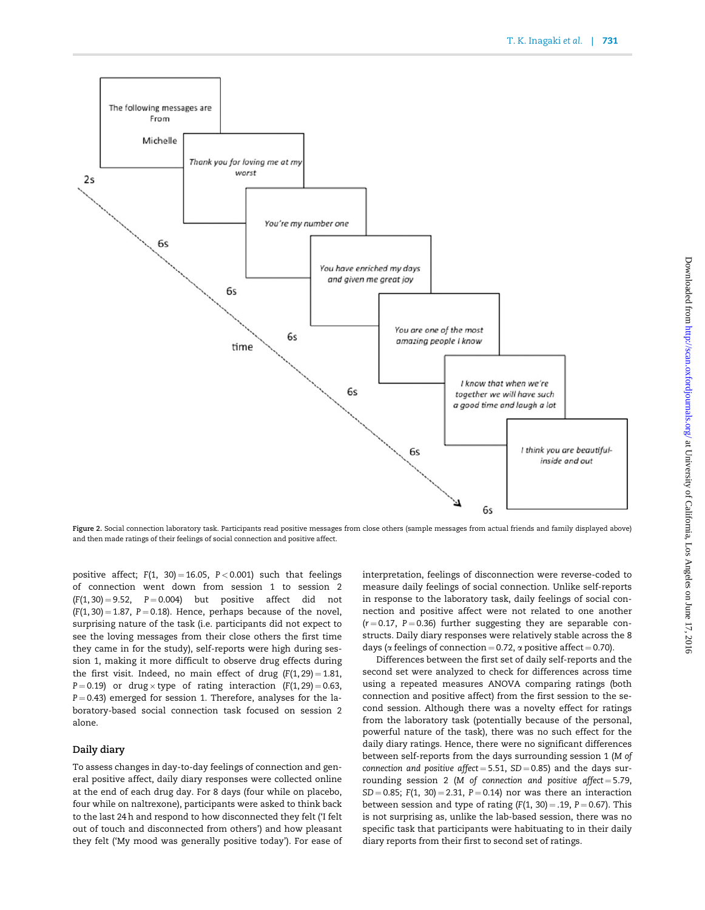

Figure 2. Social connection laboratory task. Participants read positive messages from close others (sample messages from actual friends and family displayed above) and then made ratings of their feelings of social connection and positive affect.

positive affect;  $F(1, 30) = 16.05$ ,  $P < 0.001$ ) such that feelings of connection went down from session 1 to session 2  $(F(1, 30) = 9.52, P = 0.004)$  but positive affect did not  $(F(1, 30) = 1.87, P = 0.18)$ . Hence, perhaps because of the novel, surprising nature of the task (i.e. participants did not expect to see the loving messages from their close others the first time they came in for the study), self-reports were high during session 1, making it more difficult to observe drug effects during the first visit. Indeed, no main effect of drug  $(F(1, 29) = 1.81$ , P=0.19) or drug $\times$ type of rating interaction (F(1,29)=0.63,  $P = 0.43$ ) emerged for session 1. Therefore, analyses for the laboratory-based social connection task focused on session 2 alone.

#### Daily diary

To assess changes in day-to-day feelings of connection and general positive affect, daily diary responses were collected online at the end of each drug day. For 8 days (four while on placebo, four while on naltrexone), participants were asked to think back to the last 24 h and respond to how disconnected they felt ('I felt out of touch and disconnected from others') and how pleasant they felt ('My mood was generally positive today'). For ease of interpretation, feelings of disconnection were reverse-coded to measure daily feelings of social connection. Unlike self-reports in response to the laboratory task, daily feelings of social connection and positive affect were not related to one another  $(r = 0.17, P = 0.36)$  further suggesting they are separable constructs. Daily diary responses were relatively stable across the 8 days ( $\alpha$  feelings of connection = 0.72,  $\alpha$  positive affect = 0.70).

Differences between the first set of daily self-reports and the second set were analyzed to check for differences across time using a repeated measures ANOVA comparing ratings (both connection and positive affect) from the first session to the second session. Although there was a novelty effect for ratings from the laboratory task (potentially because of the personal, powerful nature of the task), there was no such effect for the daily diary ratings. Hence, there were no significant differences between self-reports from the days surrounding session 1 (M of connection and positive affect =  $5.51$ ,  $SD = 0.85$ ) and the days surrounding session 2 (M of connection and positive affect =  $5.79$ ,  $SD = 0.85$ ; F(1, 30) = 2.31, P = 0.14) nor was there an interaction between session and type of rating  $(F(1, 30) = .19, P = 0.67)$ . This is not surprising as, unlike the lab-based session, there was no specific task that participants were habituating to in their daily diary reports from their first to second set of ratings.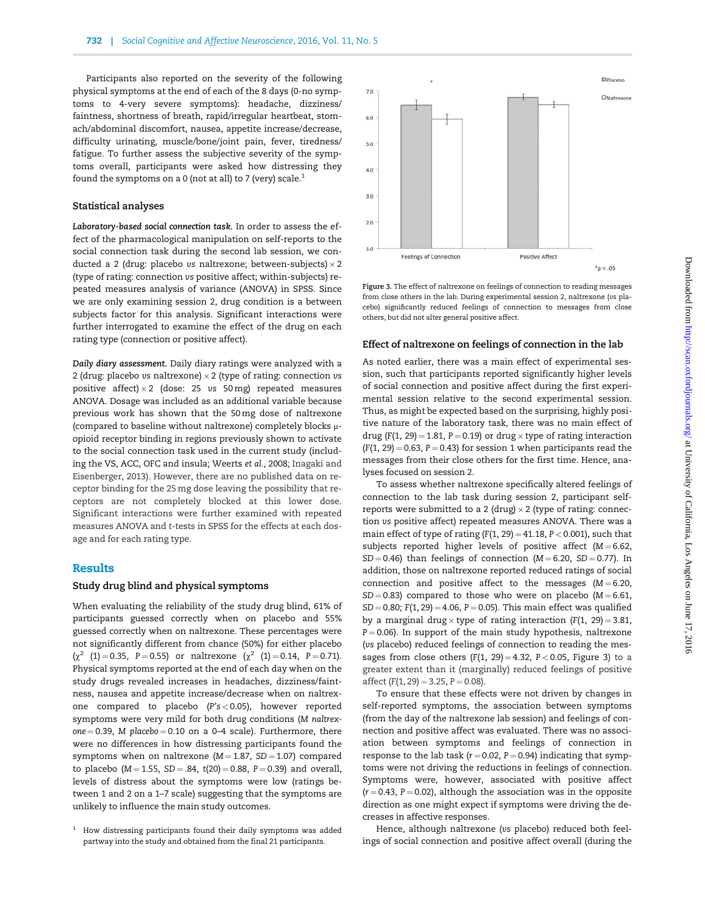Participants also reported on the severity of the following physical symptoms at the end of each of the 8 days (0-no symptoms to 4-very severe symptoms): headache, dizziness/ faintness, shortness of breath, rapid/irregular heartbeat, stomach/abdominal discomfort, nausea, appetite increase/decrease, difficulty urinating, muscle/bone/joint pain, fever, tiredness/ fatigue. To further assess the subjective severity of the symptoms overall, participants were asked how distressing they found the symptoms on a 0 (not at all) to 7 (very) scale.<sup>1</sup>

#### Statistical analyses

Laboratory-based social connection task. In order to assess the effect of the pharmacological manipulation on self-reports to the social connection task during the second lab session, we conducted a 2 (drug: placebo  $v$ s naltrexone; between-subjects) $\times$  2 (type of rating: connection vs positive affect; within-subjects) repeated measures analysis of variance (ANOVA) in SPSS. Since we are only examining session 2, drug condition is a between subjects factor for this analysis. Significant interactions were further interrogated to examine the effect of the drug on each rating type (connection or positive affect).

Daily diary assessment. Daily diary ratings were analyzed with a 2 (drug: placebo vs naltrexone)  $\times$  2 (type of rating: connection vs positive affect) $\times 2$  (dose: 25  $vs$  50 mg) repeated measures ANOVA. Dosage was included as an additional variable because previous work has shown that the 50 mg dose of naltrexone (compared to baseline without naltrexone) completely blocks  $\mu$ opioid receptor binding in regions previously shown to activate to the social connection task used in the current study (including the VS, ACC, OFC and insula; Weerts et al., 2008; Inagaki and Eisenberger, 2013). However, there are no published data on receptor binding for the 25 mg dose leaving the possibility that receptors are not completely blocked at this lower dose. Significant interactions were further examined with repeated measures ANOVA and t-tests in SPSS for the effects at each dosage and for each rating type.

#### Results

#### Study drug blind and physical symptoms

When evaluating the reliability of the study drug blind, 61% of participants guessed correctly when on placebo and 55% guessed correctly when on naltrexone. These percentages were not significantly different from chance (50%) for either placebo  $(\chi^2 \quad (1) = 0.35, \quad P = 0.55)$  or naltrexone  $(\chi^2 \quad (1) = 0.14, \quad P = 0.71)$ . Physical symptoms reported at the end of each day when on the study drugs revealed increases in headaches, dizziness/faintness, nausea and appetite increase/decrease when on naltrexone compared to placebo (P's < 0.05), however reported symptoms were very mild for both drug conditions (M naltrexone  $= 0.39$ , M placebo  $= 0.10$  on a 0-4 scale). Furthermore, there were no differences in how distressing participants found the symptoms when on naltrexone ( $M = 1.87$ , SD = 1.07) compared to placebo ( $M = 1.55$ ,  $SD = .84$ ,  $t(20) = 0.88$ ,  $P = 0.39$ ) and overall, levels of distress about the symptoms were low (ratings between 1 and 2 on a 1–7 scale) suggesting that the symptoms are unlikely to influence the main study outcomes.



Figure 3. The effect of naltrexone on feelings of connection to reading messages from close others in the lab. During experimental session 2, naltrexone (vs placebo) significantly reduced feelings of connection to messages from close others, but did not alter general positive affect.

#### Effect of naltrexone on feelings of connection in the lab

As noted earlier, there was a main effect of experimental session, such that participants reported significantly higher levels of social connection and positive affect during the first experimental session relative to the second experimental session. Thus, as might be expected based on the surprising, highly positive nature of the laboratory task, there was no main effect of drug (F(1, 29) = 1.81, P = 0.19) or drug  $\times$  type of rating interaction  $(F(1, 29) = 0.63, P = 0.43)$  for session 1 when participants read the messages from their close others for the first time. Hence, analyses focused on session 2.

To assess whether naltrexone specifically altered feelings of connection to the lab task during session 2, participant selfreports were submitted to a 2 (drug)  $\times$  2 (type of rating: connection vs positive affect) repeated measures ANOVA. There was a main effect of type of rating  $(F(1, 29) = 41.18, P < 0.001)$ , such that subjects reported higher levels of positive affect ( $M = 6.62$ ,  $SD = 0.46$ ) than feelings of connection (M = 6.20, SD = 0.77). In addition, those on naltrexone reported reduced ratings of social connection and positive affect to the messages ( $M = 6.20$ ,  $SD = 0.83$ ) compared to those who were on placebo (M = 6.61,  $SD = 0.80$ ; F(1, 29) = 4.06, P = 0.05). This main effect was qualified by a marginal drug $\times$  type of rating interaction (F(1, 29)=3.81,  $P = 0.06$ ). In support of the main study hypothesis, naltrexone (vs placebo) reduced feelings of connection to reading the messages from close others  $(F(1, 29) = 4.32, P < 0.05,$  Figure 3) to a greater extent than it (marginally) reduced feelings of positive affect  $(F(1, 29) = 3.25, P = 0.08)$ .

To ensure that these effects were not driven by changes in self-reported symptoms, the association between symptoms (from the day of the naltrexone lab session) and feelings of connection and positive affect was evaluated. There was no association between symptoms and feelings of connection in response to the lab task ( $r = 0.02$ ,  $P = 0.94$ ) indicating that symptoms were not driving the reductions in feelings of connection. Symptoms were, however, associated with positive affect  $(r = 0.43, P = 0.02)$ , although the association was in the opposite direction as one might expect if symptoms were driving the decreases in affective responses.

Hence, although naltrexone (vs placebo) reduced both feelings of social connection and positive affect overall (during the

 $1$  How distressing participants found their daily symptoms was added partway into the study and obtained from the final 21 participants.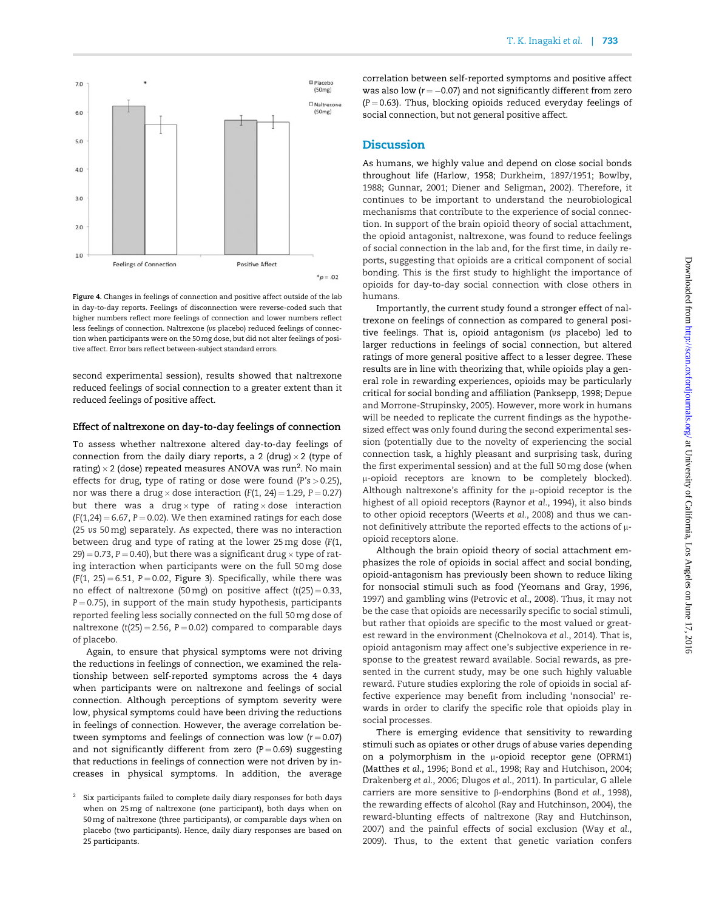

Figure 4. Changes in feelings of connection and positive affect outside of the lab in day-to-day reports. Feelings of disconnection were reverse-coded such that higher numbers reflect more feelings of connection and lower numbers reflect less feelings of connection. Naltrexone (vs placebo) reduced feelings of connection when participants were on the 50 mg dose, but did not alter feelings of positive affect. Error bars reflect between-subject standard errors.

second experimental session), results showed that naltrexone reduced feelings of social connection to a greater extent than it reduced feelings of positive affect.

#### Effect of naltrexone on day-to-day feelings of connection

To assess whether naltrexone altered day-to-day feelings of connection from the daily diary reports, a 2 (drug) $\times$  2 (type of rating)  $\times$  2 (dose) repeated measures ANOVA was run $^2$ . No main effects for drug, type of rating or dose were found ( $P's > 0.25$ ), nor was there a drug $\times$  dose interaction (F(1, 24)=1.29, P=0.27) but there was a drug $\times$ type of rating $\times$ dose interaction  $(F(1,24) = 6.67, P = 0.02)$ . We then examined ratings for each dose (25 vs 50 mg) separately. As expected, there was no interaction between drug and type of rating at the lower 25 mg dose (F(1, 29) = 0.73, P = 0.40), but there was a significant drug  $\times$  type of rating interaction when participants were on the full 50 mg dose  $(F(1, 25) = 6.51, P = 0.02,$  Figure 3). Specifically, while there was no effect of naltrexone (50 mg) on positive affect (t(25) = 0.33,  $P = 0.75$ ), in support of the main study hypothesis, participants reported feeling less socially connected on the full 50 mg dose of naltrexone (t(25) = 2.56,  $P = 0.02$ ) compared to comparable days of placebo.

Again, to ensure that physical symptoms were not driving the reductions in feelings of connection, we examined the relationship between self-reported symptoms across the 4 days when participants were on naltrexone and feelings of social connection. Although perceptions of symptom severity were low, physical symptoms could have been driving the reductions in feelings of connection. However, the average correlation between symptoms and feelings of connection was low  $(r = 0.07)$ and not significantly different from zero  $(P = 0.69)$  suggesting that reductions in feelings of connection were not driven by increases in physical symptoms. In addition, the average

correlation between self-reported symptoms and positive affect was also low  $(r = -0.07)$  and not significantly different from zero  $(P = 0.63)$ . Thus, blocking opioids reduced everyday feelings of social connection, but not general positive affect.

# Discussion

As humans, we highly value and depend on close social bonds throughout life (Harlow, 1958; Durkheim, 1897/1951; Bowlby, 1988; Gunnar, 2001; Diener and Seligman, 2002). Therefore, it continues to be important to understand the neurobiological mechanisms that contribute to the experience of social connection. In support of the brain opioid theory of social attachment, the opioid antagonist, naltrexone, was found to reduce feelings of social connection in the lab and, for the first time, in daily reports, suggesting that opioids are a critical component of social bonding. This is the first study to highlight the importance of opioids for day-to-day social connection with close others in humans.

Importantly, the current study found a stronger effect of naltrexone on feelings of connection as compared to general positive feelings. That is, opioid antagonism (vs placebo) led to larger reductions in feelings of social connection, but altered ratings of more general positive affect to a lesser degree. These results are in line with theorizing that, while opioids play a general role in rewarding experiences, opioids may be particularly critical for social bonding and affiliation (Panksepp, 1998; Depue and Morrone-Strupinsky, 2005). However, more work in humans will be needed to replicate the current findings as the hypothesized effect was only found during the second experimental session (potentially due to the novelty of experiencing the social connection task, a highly pleasant and surprising task, during the first experimental session) and at the full 50 mg dose (when l-opioid receptors are known to be completely blocked). Although naltrexone's affinity for the  $\mu$ -opioid receptor is the highest of all opioid receptors (Raynor et al., 1994), it also binds to other opioid receptors (Weerts et al., 2008) and thus we cannot definitively attribute the reported effects to the actions of  $\mu$ opioid receptors alone.

Although the brain opioid theory of social attachment emphasizes the role of opioids in social affect and social bonding, opioid-antagonism has previously been shown to reduce liking for nonsocial stimuli such as food (Yeomans and Gray, 1996, 1997) and gambling wins (Petrovic et al., 2008). Thus, it may not be the case that opioids are necessarily specific to social stimuli, but rather that opioids are specific to the most valued or greatest reward in the environment (Chelnokova et al., 2014). That is, opioid antagonism may affect one's subjective experience in response to the greatest reward available. Social rewards, as presented in the current study, may be one such highly valuable reward. Future studies exploring the role of opioids in social affective experience may benefit from including 'nonsocial' rewards in order to clarify the specific role that opioids play in social processes.

There is emerging evidence that sensitivity to rewarding stimuli such as opiates or other drugs of abuse varies depending on a polymorphism in the  $\mu$ -opioid receptor gene (OPRM1) (Matthes et al., 1996; Bond et al., 1998; Ray and Hutchison, 2004; Drakenberg et al., 2006; Dlugos et al., 2011). In particular, G allele carriers are more sensitive to  $\beta$ -endorphins (Bond et al., 1998), the rewarding effects of alcohol (Ray and Hutchinson, 2004), the reward-blunting effects of naltrexone (Ray and Hutchinson, 2007) and the painful effects of social exclusion (Way et al., 2009). Thus, to the extent that genetic variation confers

<sup>&</sup>lt;sup>2</sup> Six participants failed to complete daily diary responses for both days when on 25 mg of naltrexone (one participant), both days when on 50 mg of naltrexone (three participants), or comparable days when on placebo (two participants). Hence, daily diary responses are based on 25 participants.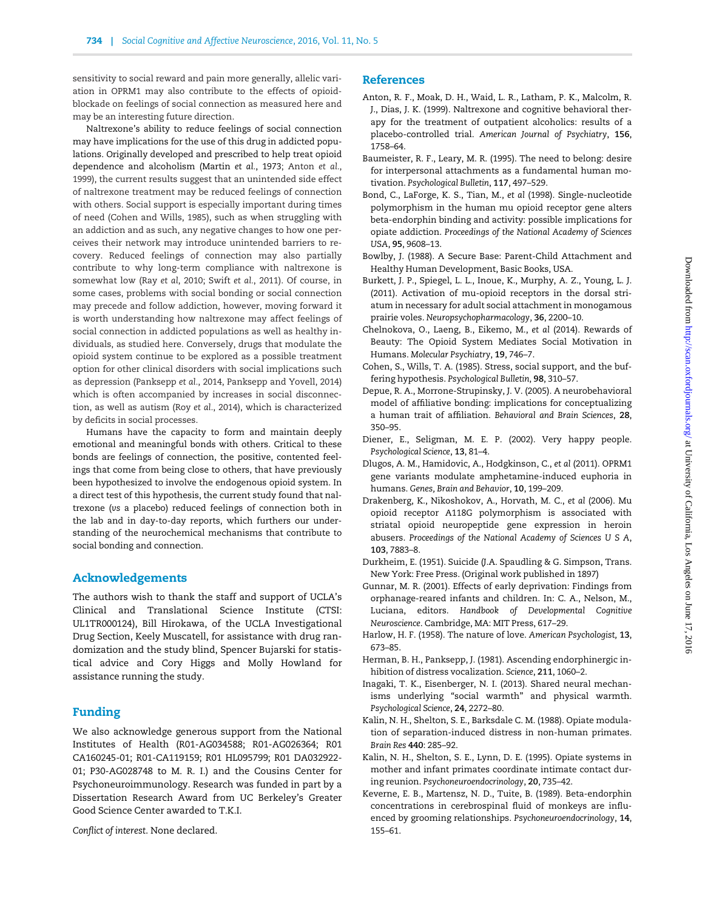sensitivity to social reward and pain more generally, allelic variation in OPRM1 may also contribute to the effects of opioidblockade on feelings of social connection as measured here and may be an interesting future direction.

Naltrexone's ability to reduce feelings of social connection may have implications for the use of this drug in addicted populations. Originally developed and prescribed to help treat opioid dependence and alcoholism (Martin et al., 1973; Anton et al., 1999), the current results suggest that an unintended side effect of naltrexone treatment may be reduced feelings of connection with others. Social support is especially important during times of need (Cohen and Wills, 1985), such as when struggling with an addiction and as such, any negative changes to how one perceives their network may introduce unintended barriers to recovery. Reduced feelings of connection may also partially contribute to why long-term compliance with naltrexone is somewhat low (Ray et al, 2010; Swift et al., 2011). Of course, in some cases, problems with social bonding or social connection may precede and follow addiction, however, moving forward it is worth understanding how naltrexone may affect feelings of social connection in addicted populations as well as healthy individuals, as studied here. Conversely, drugs that modulate the opioid system continue to be explored as a possible treatment option for other clinical disorders with social implications such as depression (Panksepp et al., 2014, Panksepp and Yovell, 2014) which is often accompanied by increases in social disconnection, as well as autism (Roy et al., 2014), which is characterized by deficits in social processes.

Humans have the capacity to form and maintain deeply emotional and meaningful bonds with others. Critical to these bonds are feelings of connection, the positive, contented feelings that come from being close to others, that have previously been hypothesized to involve the endogenous opioid system. In a direct test of this hypothesis, the current study found that naltrexone (vs a placebo) reduced feelings of connection both in the lab and in day-to-day reports, which furthers our understanding of the neurochemical mechanisms that contribute to social bonding and connection.

# Acknowledgements

The authors wish to thank the staff and support of UCLA's Clinical and Translational Science Institute (CTSI: UL1TR000124), Bill Hirokawa, of the UCLA Investigational Drug Section, Keely Muscatell, for assistance with drug randomization and the study blind, Spencer Bujarski for statistical advice and Cory Higgs and Molly Howland for assistance running the study.

# Funding

We also acknowledge generous support from the National Institutes of Health (R01-AG034588; R01-AG026364; R01 CA160245-01; R01-CA119159; R01 HL095799; R01 DA032922- 01; P30-AG028748 to M. R. I.) and the Cousins Center for Psychoneuroimmunology. Research was funded in part by a Dissertation Research Award from UC Berkeley's Greater Good Science Center awarded to T.K.I.

Conflict of interest. None declared.

### References

- Anton, R. F., Moak, D. H., Waid, L. R., Latham, P. K., Malcolm, R. J., Dias, J. K. (1999). Naltrexone and cognitive behavioral therapy for the treatment of outpatient alcoholics: results of a placebo-controlled trial. American Journal of Psychiatry, 156, 1758–64.
- Baumeister, R. F., Leary, M. R. (1995). The need to belong: desire for interpersonal attachments as a fundamental human motivation. Psychological Bulletin, 117, 497–529.
- Bond, C., LaForge, K. S., Tian, M., et al (1998). Single-nucleotide polymorphism in the human mu opioid receptor gene alters beta-endorphin binding and activity: possible implications for opiate addiction. Proceedings of the National Academy of Sciences USA, 95, 9608–13.
- Bowlby, J. (1988). A Secure Base: Parent-Child Attachment and Healthy Human Development, Basic Books, USA.
- Burkett, J. P., Spiegel, L. L., Inoue, K., Murphy, A. Z., Young, L. J. (2011). Activation of mu-opioid receptors in the dorsal striatum in necessary for adult social attachment in monogamous prairie voles. Neuropsychopharmacology, 36, 2200–10.
- Chelnokova, O., Laeng, B., Eikemo, M., et al (2014). Rewards of Beauty: The Opioid System Mediates Social Motivation in Humans. Molecular Psychiatry, 19, 746–7.
- Cohen, S., Wills, T. A. (1985). Stress, social support, and the buffering hypothesis. Psychological Bulletin, 98, 310–57.
- Depue, R. A., Morrone-Strupinsky, J. V. (2005). A neurobehavioral model of affiliative bonding: implications for conceptualizing a human trait of affiliation. Behavioral and Brain Sciences, 28, 350–95.
- Diener, E., Seligman, M. E. P. (2002). Very happy people. Psychological Science, 13, 81–4.
- Dlugos, A. M., Hamidovic, A., Hodgkinson, C., et al (2011). OPRM1 gene variants modulate amphetamine-induced euphoria in humans. Genes, Brain and Behavior, 10, 199–209.
- Drakenberg, K., Nikoshokov, A., Horvath, M. C., et al (2006). Mu opioid receptor A118G polymorphism is associated with striatal opioid neuropeptide gene expression in heroin abusers. Proceedings of the National Academy of Sciences U S A, 103, 7883–8.
- Durkheim, E. (1951). Suicide (J.A. Spaudling & G. Simpson, Trans. New York: Free Press. (Original work published in 1897)
- Gunnar, M. R. (2001). Effects of early deprivation: Findings from orphanage-reared infants and children. In: C. A., Nelson, M., Luciana, editors. Handbook of Developmental Cognitive Neuroscience. Cambridge, MA: MIT Press, 617–29.
- Harlow, H. F. (1958). The nature of love. American Psychologist, 13, 673–85.
- Herman, B. H., Panksepp, J. (1981). Ascending endorphinergic inhibition of distress vocalization. Science, 211, 1060–2.
- Inagaki, T. K., Eisenberger, N. I. (2013). Shared neural mechanisms underlying "social warmth" and physical warmth. Psychological Science, 24, 2272–80.
- Kalin, N. H., Shelton, S. E., Barksdale C. M. (1988). Opiate modulation of separation-induced distress in non-human primates. Brain Res 440: 285–92.
- Kalin, N. H., Shelton, S. E., Lynn, D. E. (1995). Opiate systems in mother and infant primates coordinate intimate contact during reunion. Psychoneuroendocrinology, 20, 735–42.
- Keverne, E. B., Martensz, N. D., Tuite, B. (1989). Beta-endorphin concentrations in cerebrospinal fluid of monkeys are influenced by grooming relationships. Psychoneuroendocrinology, 14, 155–61.